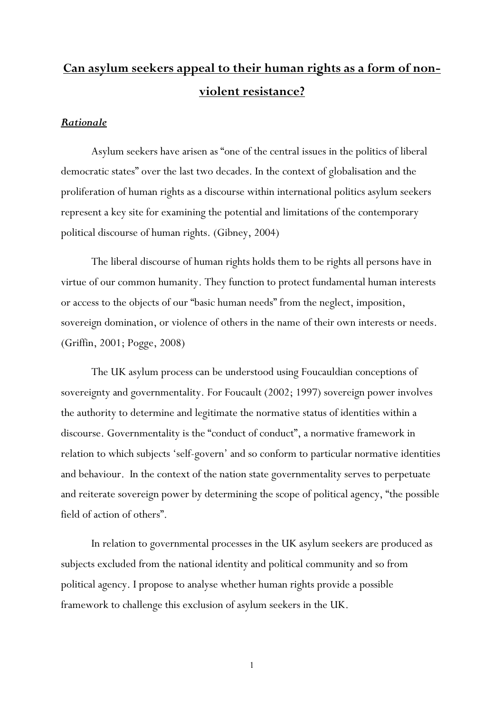# **Can asylum seekers appeal to their human rights as a form of nonviolent resistance?**

#### *Rationale*

Asylum seekers have arisen as "one of the central issues in the politics of liberal democratic states" over the last two decades. In the context of globalisation and the proliferation of human rights as a discourse within international politics asylum seekers represent a key site for examining the potential and limitations of the contemporary political discourse of human rights. (Gibney, 2004)

The liberal discourse of human rights holds them to be rights all persons have in virtue of our common humanity. They function to protect fundamental human interests or access to the objects of our "basic human needs" from the neglect, imposition, sovereign domination, or violence of others in the name of their own interests or needs. (Griffin, 2001; Pogge, 2008)

The UK asylum process can be understood using Foucauldian conceptions of sovereignty and governmentality. For Foucault (2002; 1997) sovereign power involves the authority to determine and legitimate the normative status of identities within a discourse. Governmentality is the "conduct of conduct", a normative framework in relation to which subjects 'self-govern' and so conform to particular normative identities and behaviour. In the context of the nation state governmentality serves to perpetuate and reiterate sovereign power by determining the scope of political agency, "the possible field of action of others".

In relation to governmental processes in the UK asylum seekers are produced as subjects excluded from the national identity and political community and so from political agency. I propose to analyse whether human rights provide a possible framework to challenge this exclusion of asylum seekers in the UK.

1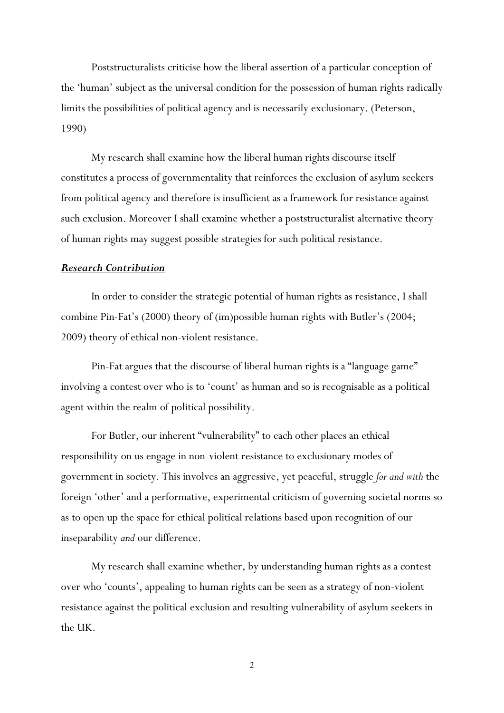Poststructuralists criticise how the liberal assertion of a particular conception of the 'human' subject as the universal condition for the possession of human rights radically limits the possibilities of political agency and is necessarily exclusionary. (Peterson, 1990)

My research shall examine how the liberal human rights discourse itself constitutes a process of governmentality that reinforces the exclusion of asylum seekers from political agency and therefore is insufficient as a framework for resistance against such exclusion. Moreover I shall examine whether a poststructuralist alternative theory of human rights may suggest possible strategies for such political resistance.

#### *Research Contribution*

In order to consider the strategic potential of human rights as resistance, I shall combine Pin-Fat's (2000) theory of (im)possible human rights with Butler's (2004; 2009) theory of ethical non-violent resistance.

Pin-Fat argues that the discourse of liberal human rights is a "language game" involving a contest over who is to 'count' as human and so is recognisable as a political agent within the realm of political possibility.

 For Butler, our inherent "vulnerability" to each other places an ethical responsibility on us engage in non-violent resistance to exclusionary modes of government in society. This involves an aggressive, yet peaceful, struggle *for and with* the foreign 'other' and a performative, experimental criticism of governing societal norms so as to open up the space for ethical political relations based upon recognition of our inseparability *and* our difference.

My research shall examine whether, by understanding human rights as a contest over who 'counts', appealing to human rights can be seen as a strategy of non-violent resistance against the political exclusion and resulting vulnerability of asylum seekers in the UK.

2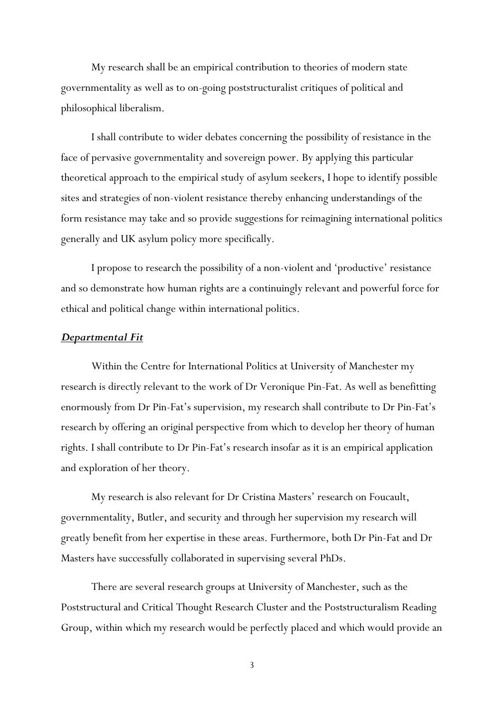My research shall be an empirical contribution to theories of modern state governmentality as well as to on-going poststructuralist critiques of political and philosophical liberalism.

I shall contribute to wider debates concerning the possibility of resistance in the face of pervasive governmentality and sovereign power. By applying this particular theoretical approach to the empirical study of asylum seekers, I hope to identify possible sites and strategies of non-violent resistance thereby enhancing understandings of the form resistance may take and so provide suggestions for reimagining international politics generally and UK asylum policy more specifically.

I propose to research the possibility of a non-violent and 'productive' resistance and so demonstrate how human rights are a continuingly relevant and powerful force for ethical and political change within international politics.

#### *Departmental Fit*

Within the Centre for International Politics at University of Manchester my research is directly relevant to the work of Dr Veronique Pin-Fat. As well as benefitting enormously from Dr Pin-Fat's supervision, my research shall contribute to Dr Pin-Fat's research by offering an original perspective from which to develop her theory of human rights. I shall contribute to Dr Pin-Fat's research insofar as it is an empirical application and exploration of her theory.

My research is also relevant for Dr Cristina Masters' research on Foucault, governmentality, Butler, and security and through her supervision my research will greatly benefit from her expertise in these areas. Furthermore, both Dr Pin-Fat and Dr Masters have successfully collaborated in supervising several PhDs.

There are several research groups at University of Manchester, such as the Poststructural and Critical Thought Research Cluster and the Poststructuralism Reading Group, within which my research would be perfectly placed and which would provide an

3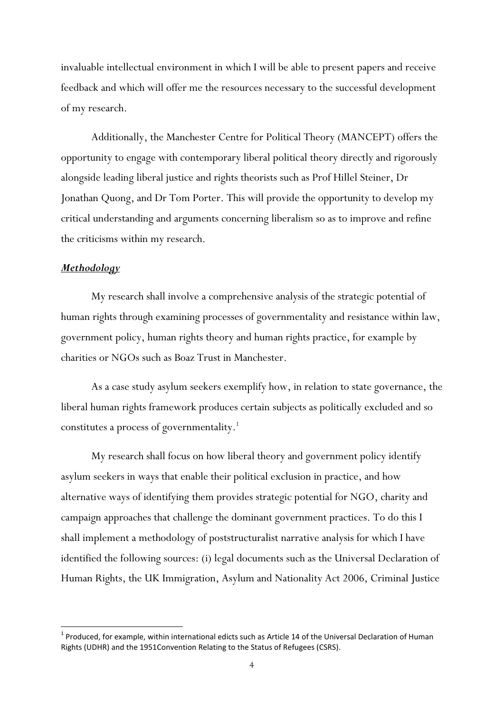invaluable intellectual environment in which I will be able to present papers and receive feedback and which will offer me the resources necessary to the successful development of my research.

Additionally, the Manchester Centre for Political Theory (MANCEPT) offers the opportunity to engage with contemporary liberal political theory directly and rigorously alongside leading liberal justice and rights theorists such as Prof Hillel Steiner, Dr Jonathan Quong, and Dr Tom Porter. This will provide the opportunity to develop my critical understanding and arguments concerning liberalism so as to improve and refine the criticisms within my research.

#### *Methodology*

1

My research shall involve a comprehensive analysis of the strategic potential of human rights through examining processes of governmentality and resistance within law, government policy, human rights theory and human rights practice, for example by charities or NGOs such as Boaz Trust in Manchester.

As a case study asylum seekers exemplify how, in relation to state governance, the liberal human rights framework produces certain subjects as politically excluded and so constitutes a process of governmentality.<sup>1</sup>

My research shall focus on how liberal theory and government policy identify asylum seekers in ways that enable their political exclusion in practice, and how alternative ways of identifying them provides strategic potential for NGO, charity and campaign approaches that challenge the dominant government practices. To do this I shall implement a methodology of poststructuralist narrative analysis for which I have identified the following sources: (i) legal documents such as the Universal Declaration of Human Rights, the UK Immigration, Asylum and Nationality Act 2006, Criminal Justice

 $<sup>1</sup>$  Produced, for example, within international edicts such as Article 14 of the Universal Declaration of Human</sup> Rights (UDHR) and the 1951Convention Relating to the Status of Refugees (CSRS).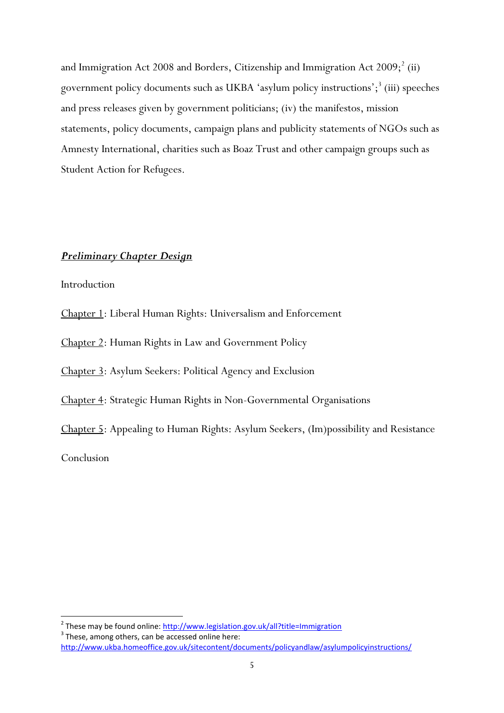and Immigration Act 2008 and Borders, Citizenship and Immigration Act  $2009;^2$  (ii) government policy documents such as UKBA 'asylum policy instructions';<sup>3</sup> (iii) speeches and press releases given by government politicians; (iv) the manifestos, mission statements, policy documents, campaign plans and publicity statements of NGOs such as Amnesty International, charities such as Boaz Trust and other campaign groups such as Student Action for Refugees.

#### *Preliminary Chapter Design*

Introduction

Chapter 1: Liberal Human Rights: Universalism and Enforcement

Chapter 2: Human Rights in Law and Government Policy

Chapter 3: Asylum Seekers: Political Agency and Exclusion

Chapter 4: Strategic Human Rights in Non-Governmental Organisations

Chapter 5: Appealing to Human Rights: Asylum Seekers, (Im)possibility and Resistance

Conclusion

 2 These may be found online[: http://www.legislation.gov.uk/all?title=Immigration](http://www.legislation.gov.uk/all?title=Immigration)  $3$  These, among others, can be accessed online here:

<http://www.ukba.homeoffice.gov.uk/sitecontent/documents/policyandlaw/asylumpolicyinstructions/>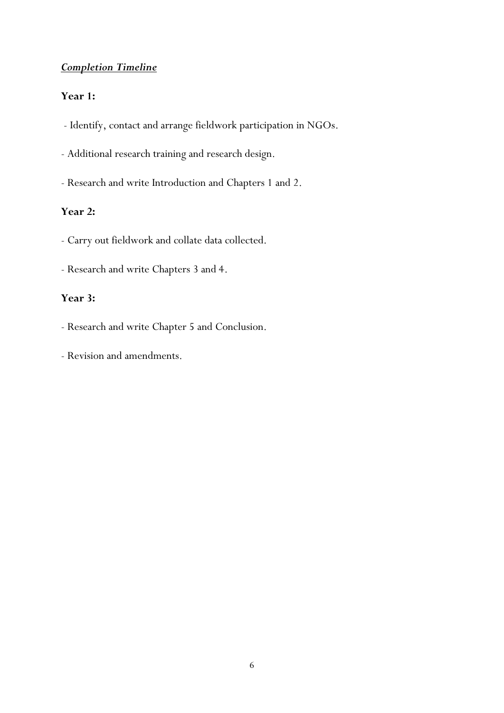## *Completion Timeline*

### **Year 1:**

- Identify, contact and arrange fieldwork participation in NGOs.
- Additional research training and research design.
- Research and write Introduction and Chapters 1 and 2.

### **Year 2:**

- Carry out fieldwork and collate data collected.
- Research and write Chapters 3 and 4.

### **Year 3:**

- Research and write Chapter 5 and Conclusion.
- Revision and amendments.